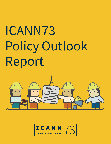# ICANN73 Policy Outlook Report



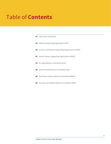# Table of **Contents**

|  | <b>03</b> Letter from David Olive                            |
|--|--------------------------------------------------------------|
|  | <b>04</b> Address Supporting Organization (ASO)              |
|  | <b>05</b> Country Code Names Supporting Organization (ccNSO) |
|  | <b>07</b> Generic Names Supporting Organization (GNSO)       |
|  | <b>13</b> At-Large Advisory Committee (ALAC)                 |
|  | <b>16</b> Governmental Advisory Committee (GAC)              |
|  | <b>18</b> Root Server System Advisory Committee (RSSAC)      |
|  | <b>19</b> Security and Stability Advisory Committee (SSAC)   |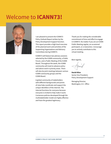## <span id="page-2-0"></span>Welcome to **ICANN73!**



I am pleased to present the ICANN73 Policy Outlook Report written by the Policy Development Support function. This report provides a high-level overview of the planned work and activities of the Supporting Organizations and Advisory Committees during ICANN73.

ICANN73 will feature two plenary sessions selected by the ICANN community, a Public Forum, and a Public Meeting of the ICANN Board. Throughout the week, the ICANN community will meet to advance policy and advice work in priority areas. There will also be joint meetings between various ICANN community groups and the ICANN Board.

A global community of stakeholders with different backgrounds and points of view help coordinate and support the unique identifiers of the Internet. The Internet functions for everyone because everyone is invited to help make it work. Consensus policies developed through the multistakeholder model are highly effective and have the greatest legitimacy.

Thank you for making the considerable commitment of time and effort to engage in ICANN73. No matter if you are an ICANN Public Meeting regular, an occasional participant, or a newcomer, I encourage you to actively contribute to this virtual meeting.

Best regards,

**David Olive** Senior Vice President, Policy Development Support

Managing Director, Washington, D.C. Office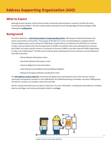<span id="page-3-0"></span>Although several members of the Internet number community will participate in sessions, the ASO will not be convening during ICANN73. The ASO conducts policy development work through Regional Internet Registry (RIR) meetings and **[mailing lists](https://www.nro.net/policy/regional/)**.

## **Background**

The ASO is defined in a **[2019 Memorandum of Understanding \(MoU\)](https://aso.icann.org/documents/memorandums-of-understanding/)**, affirming the relationship between the names and numbers communities. The purpose of the ASO is to review recommendations on global Internet Protocol address policy and to advise the ICANN Board. Global policies are defined in the ASO MoU as "Internet number resource policies that have the agreement of all RIRs, according to their policy development processes, and ICANN, and require specific actions or outcomes on the part of IANA or any other external ICANN-related body in order to be implemented." The ASO ensures that the policy development process has been correctly followed in each RIR community:

- African Network Information Centre
- Asia Pacific Network Information Centre
- American Registry for Internet Numbers
- Latin American and Caribbean Internet Addresses Registry
- Réseaux IP Européens Network Coordination Centre

The **[ASO Address Council \(ASO AC\)](https://aso.icann.org/aso-ac/)** coordinates the global policy development work of the Internet number community and appoints members to the ICANN Board, the ICANN Nominating Committee, and other ICANN groups. The ASO AC consists of 15 members, three from each RIR.

ASO AC monthly teleconferences are open to observers. For more information, including the teleconference schedule, observer privileges, and remote participation details, read **[here](https://aso.icann.org/aso-ac-teleconference-open-for-observers/)**.

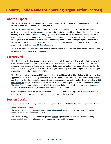<span id="page-4-0"></span>The ccNSO program begins on Monday, 7 March with Tech Day, a workshop open to all community members with an interest in technical, operational, and security topics.

The ccNSO schedule will continue on Tuesday, 8 March with a joint session of the ccNSO and the Governmental Advisory Committee. The **[ccNSO Members Meeting](https://community.icann.org/display/ccnsowkspc/%28pre%29ICANN73+%7C+ccNSO+Members+Meeting)** during ICANN73 starts with a session on the role of the ccNSO with regard to DNS abuse. This is followed by a governance session on the ccNSO conflict of interest proposals and information about the upcoming ccNSO members vote for the adoption of the new ccNSO rules. The ccNSO Members Meeting continues on Thursday, 10 March with an opportunity for ccNSO members to participate in a question and answer session with country code top-level domain (ccTLD) associated members of the ICANN Board. The ccNSO program will conclude with a **[ccNSO Council meeting](https://community.icann.org/display/ccNSOCWS/March+2022+-+at+ICANN73)**.

The detailed ccNSO schedule, including a summary of the topics covered and remote participation details for ICANN73, is available on the **[ccNSO ICANN73 workspace](https://community.icann.org/display/ccnsowkspc/ICANN73+Virtual+Community+Forum+-+March+2022)**.

## **Background**

The **[ccNSO](https://ccnso.icann.org/en)** is one of the three Supporting Organizations within ICANN. Created in 2003 for and by ccTLD managers, the ccNSO develops and recommends global policies, such as the retirement of ccTLDs, to the ICANN Board. The ccNSO provides a global platform to discuss topics of concern, build consensus and technical cooperation, and facilitate the development of voluntary best practices for ccTLD managers. Membership in the ccNSO is open to all ccTLD managers responsible for managing an ISO 3166-1 ccTLD.

The ccNSO is administered by the ccNSO Council, which consists of 18 councilors (15 elected by ccNSO members, three appointed by the ICANN Nominating Committee). The ccNSO councilors are actively involved in determining the work and direction of the ccNSO. Councilors manage the policy development process, lead and participate in **[various ccNSO](https://ccnso.icann.org/en/workinggroups)  [working groups](https://ccnso.icann.org/en/workinggroups)**, engage with the community on topical issues, and develop positions based on community feedback. The ccNSO Council meets regularly at ICANN Public Meetings and during monthly teleconferences. All ccNSO Council documents, minutes of meetings, resolutions, and discussions are published.

Consult the **[Quick Guide to the ccNSO](https://community.icann.org/pages/viewpage.action?pageId=66085237)** to learn more about its work and how it is organized. **[Subscribe](https://community.icann.org/display/ccnsowkspc/ccNSO+Newsletter)** to the ccNSO monthly newsletter to stay informed. Previous editions are available in the **[archive](https://community.icann.org/display/ccnsowkspc/ccNSO+Newsletter)**.

## **Session Details**

*Session times provided in this report are in UTC-4. Please refer to the [ICANN73 schedule](https://73.schedule.icann.org/) for the most current information.*

## **ccNSO Policy Development**

The ccNSO policy development **[working groups and other committees](https://ccnso.icann.org/en/workinggroups)** continued their work according to their regular schedules, but will not meet as part of ICANN73.

The various working groups and committees prepare **[updates](https://community.icann.org/display/ccnsowkspc/ccNSO+Working+Group+and+Committee+updates)** in preparation for each ccNSO Council meeting. The updates include information about the current status, next steps, and background.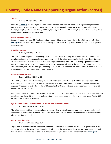#### **Tech Day**

Monday, 7 March | 09:00-14:00

Since 2006, **[Tech Day](https://community.icann.org/display/ccnsowkspc/vTech+Day+%7C+7+March+-+Agenda)** has been a part of ICANN Public Meetings. It provides a forum for both experienced participants and newcomers to meet, present, and discuss technical and operational registry topics, security, and other Domain Name System (DNS) related work. During ICANN73, Tech Day will focus on DNS Security Extensions (DNSSEC), DNS abuse prevention and mitigation, and other topics.

#### **ccNSO Members Meeting**

Session times during the ccNSO Members meeting are subject to change. Please refer to the ccNSO Members Meeting **[workspace](https://community.icann.org/display/ccnsowkspc/%28pre%29ICANN73+%7C+ccNSO+Members+Meeting)** for the most current information, including detailed agendas, preparatory materials, and a summary of the topics covered.

#### **DNS Abuse Session**

Tuesday, 8 March | 10:30-12:00

This session builds on previous work during ICANN72 and on a ccNSO workshop held in November 2021 when ccTLD members and the broader community suggested areas in which the ccNSO should get involved in regarding DNS abuse. An ad hoc committee was then formed to work on a proposed roadmap, which includes sharing experiences and best practices aligned with the ccNSO role. During ICANN73, the committee will present the roadmap, consult with attending ccTLD members, and discuss next steps. Depending on the community feedback, the ccNSO Council is expected to adopt the roadmap during its meeting on Thursday, 10 March.

#### **Governance of the ccNSO**

Tuesday, 8 March | 12:30-14:00

The ccNSO Guideline Review Committee (GRC) will inform the ccNSO membership about the vote on the new ccNSO rules, which would replace the 2004 rules. Voting is expected to begin after ICANN73. The new rules will have a direct impact on the governance structure of the ccNSO, specifically on the respective roles and responsibilities of the ccNSO Council and ccNSO members.

In addition, the GRC will launch a discussion on the ccNSO Conflict of Interest (COI) rules. The aim of the consultation is to seek input from the ccNSO community and other stakeholders on the scope and relevance of the COI rules. Finally, GRC will expand on its changed mandate.

#### **Question and Answer Session with ccTLD-related ICANN Board Members**

Thursday, 10 March | 09:00-10:00

The ccNSO-appointed ICANN Board members have been invited to attend a question and answer session to share their experiences as ICANN Board members. Other ICANN Board members with an association to the ccTLD community have also been invited to attend.

#### **ccNSO Council Meeting**

Thursday, 10 March | 10:30-12:00

Topics for discussion will include outcomes from the ccNSO session on DNS abuse, the roles and responsibilities of the various members of the ccNSO Council as well as the election of the ccNSO leadership team consisting of one chair and two vice chairs. Additional topics for the ccNSO Council meeting will be made available on the Council **[workspace](https://community.icann.org/display/ccNSOCWS/March+2022+-+at+ICANN73)**.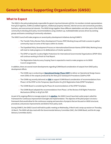<span id="page-6-0"></span>The GNSO is the policymaking body responsible for generic top-level domains (gTLDs). Its members include representatives from gTLD registries, ICANN-accredited registrars, intellectual property interests, Internet service and connectivity providers, business, and noncommercial interests. The GNSO brings together these different stakeholders and other parts of the ICANN community to develop gTLD policy recommendations using a bottom-up, multistakeholder process driven by working groups and teams consisting of community volunteers.

The GNSO Council will make progress on several policy development initiatives during ICANN73:

- The Transfer Policy Review Policy Development Process (PDP) Working Group will hold a session to gather community input on some of the topics within its charter.
- The Expedited Policy Development Process on Internationalized Domain Names (EPDP-IDNs) Working Group will meet to make progress on its deliberations of charter questions.
- The EPDP on Specific Curative Rights Protections for International Governmental Organizations (EPDP-IGOs) will continue working to finish its Final Report.
- The Registration Data Accuracy Scoping Team is expected to meet to make progress on its GNSO Council assignments.

In addition, there are several recent developments regarding ICANN Board consideration of outputs from GNSO policy development efforts:

- The ICANN org is conducting an **[Operational Design Phase \(ODP\)](https://www.icann.org/subpro-odp)** to deliver an Operational Design Assessment (ODA) on the outputs produced by the New gTLD Subsequent Procedures (SubPro) PDP.
- The ICANN org recently delivered an **[ODA](https://www.icann.org/en/announcements/details/icann-delivers-operational-design-assessment-of-ssad-recommendations-25-1-2022-en)** to support ICANN Board consideration of recommendations from Phase 2 of the EPDP on the Temporary Specification for gTLD Registration Data (EPDP-TempSpec).
- The ICANN Board is considering the Phase 2A recommendations of the EPDP-TempSpec.
- The ICANN Board adopted the recommendations from Phase 1 of the Review of All Rights Protection Mechanisms (RPMs) in All gTLDs PDP.

As part of its ongoing efforts to manage projects in its **[pipeline](https://community.icann.org/display/gnsocouncilmeetings/Action+Decision+Radar)**, the GNSO Council launched a pilot project called the Framework for Continuous Improvement Oversight and Implementation. The objective of the pilot project is to test a framework that would allow for the continuous scoping and execution of projects that are focused on GNSO structural, procedural, and process improvements and distinct from policy work.

During ICANN73, the GNSO Council will hold its public meeting on Wednesday, 9 March and a wrap-up session on Thursday, 10 March. The GNSO will also meet with the Governmental Advisory Committee (GAC), the ICANN Board, and the At-Large Advisory Committee (ALAC).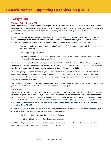## **Background**

## **Transfer Policy Review PDP**

Following the receipt and review of the ICANN org Transfer Policy Status Report, the GNSO Council established a Transfer Policy Review Scoping Team that provided an Initial Scoping Paper in April 2020. A Preliminary Issue Report for a PDP was published for Public Comment on 12 October 2020, with an updated Final Issue Report submitted to the GNSO Council on 12 January 2021.

On 18 February 2021, the GNSO Council initiated the two-phase **[Transfer Policy Review PDP](https://gnso.icann.org/en/group-activities/active/transfer-policy-review#:~:text=The%20Transfer%20Policy%2C%20formerly%20referred,from%20one%20registrar%20to%20another.)**. The PDP will determine if changes to the policy are needed to improve the ease, security, and efficacy of inter-registrar and inter-registrant transfers. As recommended in the Final Issue Report, the PDP will address the following topics in sequence:

- The Gaining and Losing Forms of Authorization (FOA), AuthInfo Codes, negative-acknowledgement (NACKing) transfers (Phase 1A).
- The change of registrant (Phase 1B).
- The transfer emergency action contact and reversing inter-registrar transfers, Transfer Dispute Resolution Policy, and ICANN-approved transfers (Phase 2).

The GNSO Council adopted the PDP working group charter on 24 March 2021. According to PDP 3.0, the working group adopted a representative model with set criteria and expectations for their members and chairs. With the chair identified and the membership established, the working group met for the first time on 14 May 2021.

The working group has made substantial progress on deliberations related to the Gaining and Losing FOA and AuthInfo Codes, and is firming up recommendations for its Initial Report. The next area of focus is the process of reversing or denying transfers, also known as NACKing. The working group is taking into account relevant written input received from stakeholder groups on each topic.

The Transfer Policy Review PDP Working Group session is scheduled for Tuesday, 8 March. During the session, the working group will discuss topics within its charter and seek broader community input.

## **EPDP-IDNs**

The October 2020 Final Report of an IDN Scoping Team recommended an EPDP as the desired approach to address work related to IDN policy. In November 2020, the GNSO Council launched a call for volunteers to develop a draft charter and an initiation request for the EPDP-IDNs. In developing the EPDP-IDNs charter, the drafting team built on the existing body of work related to IDNs, such as IDN-related **[recommendations](https://gnso.icann.org/sites/default/files/file/field-file-attach/final-report-newgtld-subsequent-procedures-pdp-02feb21-en.pdf)** from the GNSO New gTLD Subsequent Procedures PDP, **[IDN variant TLD implementation](https://www.icann.org/resources/pages/idn-variant-tld-implementation-2018-07-26-en)**, and **[recommendations for the Technical Utilization of the Root Zone Label](https://www.icann.org/en/system/files/files/rz-lgr-technical-utilization-recs-07oct19-en.pdf)  [Generation Rules \(RZ-LGR\)](https://www.icann.org/en/system/files/files/rz-lgr-technical-utilization-recs-07oct19-en.pdf)**.

On 10 May 2021, the drafting team submitted its deliverables to the GNSO Council for its consideration. The **[EPDP-IDNs](https://gnso.icann.org/en/group-activities/active/idn-epdp)** is expected to provide the GNSO Council with policy recommendations on:

- The definition of all gTLDs and the management of variant labels.
- How the IDN Implementation Guidelines should be updated.

On 20 May 2021, the GNSO Council approved the initiation request for the EPDP-IDNs and adopted its charter. The EPDP-IDNs working group held its first meeting on 11 August 2021.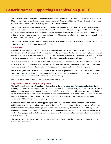## **Generic Names Supporting Organization (GNSO)**

The EPDP-IDNs received early written input from several stakeholder groups on topics contained in its charter. In January 2022, the working group conducted an engagement session with Security and Stability Advisory Committee members to discuss their early input, as well as exchange views on specific charter questions.

The working group has largely completed its first pass of substantive deliberations on Topic A – the first of its seven main topics – which focuses on the consistent definition of gTLDs and variant gTLD labels using the RZ-LGR. The working group is now proceeding with its initial deliberations on charter questions regarding the "same entity" principle for variant gTLDs, as well as questions related to the legal and operational framework by which registry operators could apply for, or seek to activate allocatable variant gTLD labels.

The working group session will be held on Wednesday, 9 March. During the session, the working group will discuss topics within its charter and seek broader community input.

#### **EPDP-IGOs**

In April 2019, the GNSO Council voted to approve recommendations 1-4 in the Final Report of the IGO and International Non-Governmental Organization (INGO) Access to Curative Rights Protection Mechanisms PDP Working Group. The GNSO Council also resolved to not approve recommendation 5 and directed the Review of All RPMs in All gTLDs PDP to consider whether an appropriate policy solution can be developed that is generally consistent with recommendations 1-4.

After discussions with the GAC and INGOs, the GNSO Council adopted an addendum to the charter of the Review of All RPMs in All gTLDs PDP to initiate a separate work track focusing solely on the deliberation of IGO issues. The IGO Work Track held its first meeting in February 2021 and has been meeting weekly, making substantial progress.

In August 2021, the GNSO Council took the procedural step of initiating an EPDP to continue the work of the IGO Work Track. The **[EPDP-IGOs](https://gnso.icann.org/en/group-activities/active/specific-crp-igo-epdp)** published its Initial Report for Public Comment on 14 September 2021. It has considered the comments received and is making changes to its report as necessary.

EPDP-IGOs will meet on Tuesday, 8 March to complete its Final Report.

#### **Registration Data Accuracy Scoping Team**

The GNSO Council adopted the formation and instructions of the **[Registration Data Accuracy Scoping Team](https://community.icann.org/display/AST/Registration+Data+Accuracy+-+Scoping+Team)** during its meeting on 22 July 2021. The scoping team was tasked to consider a number of accuracy-related aspects, such as current enforcement and reporting, measurement of accuracy, and effectiveness. These considerations are expected to help inform its deliberations on whether any changes are recommended to the GNSO Council to improve accuracy levels, and how these changes would be developed (i.e., a recommendation to change existing contractual requirements may necessitate a PDP or change in contractual negotiations).

Community stakeholders were invited to appoint representatives to this effort. The scoping team commenced its deliberations in October 2021. Following its review of the index of relevant resources, the scoping team has focused on the topics of enforcement and reporting as well as measurement of accuracy. It engaged with the ICANN org to better understand the interpretation and enforcement of existing requirements as well as reporting. The scoping team is also working through a gap analysis that is expected to help inform its deliberations and the development of recommendations to the GNSO Council.

The Accuracy Scoping Team will hold a session on Monday, 7 March to work on the assignments provided by the GNSO Council in its instructions.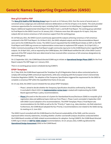## **New gTLD SubPro PDP**

The **[New gTLD SubPro PDP Working Group](https://gnso.icann.org/en/group-activities/active/new-gtld-subsequent-procedures)** began its work on 22 February 2016. Over the course of several years, it convened various subgroups and undertook extensive deliberations on the list of topics in its charter. This work provided numerous opportunities for community input, including Public Comment on its Initial Report, Supplemental Initial Report, Additional Supplemental Initial Report from Work Track 5, and Draft Final Report. The working group submitted its Final Report to the GNSO Council on 18 January 2021. It features more than 300 outputs for 41 topics. Only two outputs did not receive consensus or full consensus support from the working group.

On 18 February 2021, the GNSO Council unanimously approved the outputs achieving consensus or full consensus contained in the PDP Final Report. On 24 March 2021, the GNSO-adopted outputs and the Recommendations Report were sent to the ICANN Board for review. The GNSO Council requested that the ICANN Board initiate an ODP on the PDP Final Report and ICANN org convene an implementation review team to implement PDP outputs. On 22 April 2021, a Public Comment proceeding on the Final Report sought community input prior to the ICANN Board action regarding PDP outputs. On 29 April 2021, and as required by the ICANN Bylaws, the ICANN Board notified the GAC of the GNSO Council approval of the PDP outputs that were determined to have received either consensus or full consensus designations by the working group.

On 12 September 2021, the ICANN Board directed ICANN org to initiate an **[Operational Design Phase \(ODP\)](https://www.icann.org/subpro-odp)** for the Final Report outputs.The ODP began on 3 January 2022.

There is no working group session scheduled during ICANN73.

#### **EPDP-TempSpec**

On 17 May 2018, the ICANN Board approved the TempSpec for gTLD Registration Data to allow contracted parties to comply with existing ICANN contractual requirements, while also complying with the European Union's General Data Protection Regulation (GDPR). The adoption of the Temporary Specification triggered the requirement for the GNSO to complete a consensus PDP within the expedited time frame of one year.

On 19 July 2018, the GNSO Council initiated the two-phase EPDP-TempSpec:

- Phase 1 aimed to decide whether the Temporary Specification should be confirmed by 25 May 2019. It concluded in March 2019. An **[implementation review team](https://community.icann.org/display/RDPIRT/Registration+Data+Policy+Implementation)** is tasked with implementing the ICANN Board-approved Phase 1 policy recommendations.
- **[Phase 2](https://gnso.icann.org/en/group-activities/active/gtld-registration-data-epdp-phase-2)** focused on the discussion of a System for Standardized Access/Disclosure (SSAD) to nonpublic gTLD registration data and additional topics held over from Phase 1. Phase 2 work concluded in September 2020 with GNSO Council adoption of its recommendations. The EPDP-TempSpec Phase 2 Final Report sets recommendations for the SSAD as well as for the "Priority 2" topics (e.g., data retention, city field redaction). Furthermore, the ICANN Board adopted the four Priority 2 recommendations (not related to the SSAD) during its meeting on 21 June 2021.

The GNSO Council consulted with the ICANN Board on the financial sustainability of the SSAD, and the concerns expressed within minority statements, including whether a further cost-benefit analysis should be conducted before the ICANN Board considers all SSAD-related recommendations for adoption. During ICANN70, the ICANN Board directed ICANN org to initiate an **[ODP for SSAD-related](https://www.icann.org/ssadodp)** recommendations. On 25 January 2022, ICANN org delivered the **[Operational Design Assessment](https://www.icann.org/ssadodp)** (ODA) to the ICANN Board.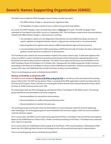## **Generic Names Supporting Organization (GNSO)**

The GNSO Council asked the EPDP-TempSpec Team to further consider two topics:

- 1. The differentiation of legal vs. natural persons' registration data.
- 2. The feasibility of unique contacts to have a uniform anonymized email address.

As a result, the EPDP-TempSpec Team reviewed these topics in **[Phase 2A](https://community.icann.org/pages/viewpage.action?pageId=150177878)** of its work. The EPDP-TempSpec Team submitted its Final Report to the GNSO Council on 3 September 2021. The Final Report contains three recommendations related to the differentiation of legal vs. natural persons, including:

- 1. The mandatory creation of a new Registration Data Directory Services field(s) that allows, but does not require, registrars to designate between natural vs. legal persons and personal vs. non-personal data.
- 2.Optional guidance for registrars who choose to differentiate between legal and natural persons.
- 3. A recommendation that if the ICANN org develops a GDPR Article 40 Code of Conduct, the above-referenced guidance would need to be considered in its development.

The Final Report also contains one recommendation related to the unique contacts topic. It states that registrars who choose to publish a contact intended to be pseudonymized should consider following the appended guidance from Bird & Bird and relevant data protection authorities. The GNSO Council approved the policy recommendations in the EPDP-TempSpec Phase 2A Final Report on 27 October 2021. Subsequently, the ICANN org opened a Public Comment proceeding on the Phase 2A Final Report in advance of the ICANN Board consideration, and the proceeding closed on 13 January 2022. Next, the ICANN Board will consider the Phase 2A policy recommendations.

There is no working group session scheduled during ICANN73.

## **Review of All RPMs in All gTLDs PDP**

The GNSO Council initiated the **[Review of All RPMs in All gTLDs PDP](https://gnso.icann.org/en/group-activities/active/rpm)** on 18 February 2016 and chartered the working group in March 2016. This PDP has two phases: Phase 1 reviewed all the RPMs applicable to gTLDs launched under the 2012 New gTLD Program. Phase 2 will focus on reviewing the Uniform Domain-Name Dispute-Resolution Policy, which has been an ICANN consensus policy since 1999.

On 24 November 2020, the PDP working group submitted its Phase 1 Final Report to the GNSO Council. The working group classified its recommendations into three categories:

- 1. Recommendations for new policies and procedures.
- 2. Recommendations to modify existing operational practice.
- 3. Recommendations to maintain the status quo.

The working group also put forward a final recommendation on overarching data collection aimed at addressing data-related gaps. The working group gave 34 recommendations full consensus support, while one recommendation received consensus support.

On 21 January 2021, the GNSO Council unanimously approved the Phase 1 Final Report and sent the Recommendations Report to the ICANN Board on 19 March 2021. A Public Comment proceeding on the Phase 1 Final Report was conducted from 7 April to 21 May 2021.

On 16 January 2022, the ICANN Board voted to adopt all 35 final Phase 1 PDP recommendations. Following the ICANN Board vote, the ICANN org Global Domains and Strategy function will proceed with planning for implementation.

There is no working group session scheduled during ICANN73.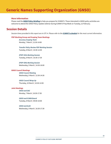## **Generic Names Supporting Organization (GNSO)**

## **More Information**

Please read the **[GNSO Policy Briefing](https://gnso.icann.org/en/issues/policy-briefing)** to help you prepare for ICANN73. Those interested in GNSO policy activities are welcome to attend the GNSO Policy Update webinar during ICANN73 Prep Week on Tuesday, 22 February.

## **Session Details**

*Session times provided in this report are in UTC-4. Please refer to the [ICANN73 schedule](https://73.schedule.icann.org/) for the most current information.*

#### **PDP Working Group and Scoping Team Meetings**

*Accuracy Scoping Team* Monday, 7 March | 12:30-14:00

*Transfer Policy Review PDP Working Session* Tuesday, 8 March | 10:30-12:00

*EPDP-IGOs Working Session* Tuesday, 8 March | 16:30-17:30

*EPDP-IDNs Working Session* Wednesday, 9 March | 14:30-16:00

#### **GNSO Council Meetings**

*GNSO Council Meeting* Wednesday, 9 March | 12:30-14:30

#### *GNSO Council Wrap Up*

Thursday, 10 March | 10:30-12:00

#### **Joint Meetings**

*GNSO and GAC* Monday, 7 March | 16:30-17:30

## *GNSO and ICANN Board*

Tuesday, 8 March | 09:00-10:00

*GNSO and ALAC* Wednesday, 9 March | 16:30-17:30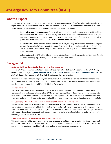<span id="page-12-0"></span>During ICANN73, the At-Large community, including At-Large Advisory Committee (ALAC) members and Regional At-Large Organization (RALO) leaders and liaisons, will hold ten sessions. The sessions are organized into three tracks: At-Large policy, outreach and engagement, and operations. The focus of the sessions include:

- **Policy Advice and Priority Sessions**. At-Large will hold three priority topic meetings during ICANN73. These sessions center on the protection of end user rights for a secure and stable Domain Name System (DNS), the next steps regarding the Competition, Consumer Trust, and Consumer Choice (CCT) Review, and the end user perspective in recommendations and the ICANN Prioritization Framework.
- **RALO Activities**. There will be several activities for the RALOs, including the traditional Joint African Regional At-Large Organization (AFRALO)-AfrICANN meeting. Also, the North American Regional At-Large Organization (NARALO) will hold a monthly meeting and host a networking event open to At-Large members and the ICANN community.
- **Joint Meetings**. The ALAC will hold joint meetings with the Governmental Advisory Committee (GAC), Generic Names Supporting Organization (GNSO) Council, and the ICANN Board.

## **Background**

## **At-Large Policy Advice Activities and Priority Sessions**

Prior to ICANN73, the ALAC submitted seven policy advice statements including ALAC responses to the ICANN Board, clarifying questions regarding **[ALAC Advice on EPDP Phase 2 \(SSAD\)](https://community.icann.org/display/alacpolicydev/At-Large+Workspace%3A+ALAC+Advice+to+ICANN+Board+on+EPDP+Phase+2)** and **[ALAC Advice on Subsequent Procedures](https://community.icann.org/display/alacpolicydev/At-Large+Workspace%3A+ALAC+Advice+to+the+ICANN+Board+on+Subsequent+Procedures)**. The ALAC will discuss their responses with the ICANN Board during their joint meeting.

In addition, At-Large will hold three priority sessions during ICANN73 related to the protection of end user rights for a secure and stable DNS, next steps regarding the CCT Review, the progress of At-Large recommendations prioritization, and the end user perspective in the ICANN Prioritization Framework.

#### **CCT Review Revisited**

The ICANN Bylaws-mandated review of the impact of the 2012 new gTLD round on CCT produced the first set of recommendations for the post-IANA transition ICANN. Ten years later, CCT Review Team discussions are ongoing, with several recommendations pending implementation. This At-Large session will explore the CCT recommendations and their value and urgency in the current environment as ICANN moves toward a new round of applications for new gTLDs.

#### **End User Perspective in Recommendations and the ICANN Prioritization Framework**

This session will be held in a roundtable format to update the ALAC, At-Large leadership, and wider community on the current state and planning for the ICANN Prioritization Framework. It will also provide a review of the progress of the ALAC Operations, Finance, and Budget Working Group Small Team on overall priorities for ALAC and At-Large. The session will include a discussion of community activities on all recommendations from Specific Reviews and cross-community working groups, such as Work Stream 2.

#### **Protecting the Rights of End Users for a Secure and Stable DNS**

This session aims to highlight the rights of end users and registrants and their importance in maintaining a stable and secure DNS. There will be three roundtable discussions on the rights of end users as incorporated in the ICANN Bylaws and community practices, the rights of registrants, and current policies under development.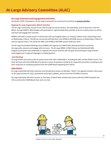## **At-Large Outreach and Engagement Activities**

During the COVID-19 pandemic, the At-Large community has continued to prioritize its **[annual activities](https://community.icann.org/display/atlarge/At-Large+Priority+Activities+-+2022)**.

#### **Regional At-Large Organization (RALO) Activities**

The At-Large community consists of over 250 At-Large Structures (ALSes), 155 individuals, and 22 observers in the five RALOs. During ICANN73, RALO leaders will participate in regional leadership activities to focus on policy topics as well as outreach and engagement activities.

NARALO will hold a virtual session on blockchain and non-fungible tokens on Tuesday, 8 March and a networking event on Wednesday, 9 March. The African community will hold their Joint AFRALO-AfrICANN session on Wednesday, 9 March to discuss regional issues. This will be the 28th Joint AFRALO-AfrICANN session held since 2010.

The At-Large Social Media Working Group (SMWG) will organize its ICANN Public Meeting activities to promote At-Large policy sessions and engage with end users. The At-Large SMWG, ICANN Fellows, and NextGen@ICANN program participants will collaborate on regional and virtual activities with the goal of promoting At-Large outreach and engagement in regional languages, including Spanish.

#### **Joint Meetings**

At-Large leaders will meet to discuss policy issues with other stakeholders, including the GAC and the GNSO Council. The ALAC will meet with the ICANN Board to discuss a series of questions related to At-Large policy priorities, including recent ALAC responses to clarifying questions from the ICANN Board regarding ALAC Advice.

## **Operations**

At-Large Leadership will hold a welcome and introductory session on Monday, 7 March. The agenda includes a discussion on At-Large activities for 2022, operational and project updates, and an overview of ICANN73 sessions.

At-Large leadership will hold a session on Thursday, 10 March that includes discussions with the ICANN President and CEO as well as the ICANN Board chair and vice chair.

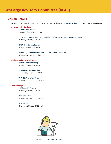## **Session Details**

*Session times provided in this report are in UTC-4. Please refer to the [ICANN73 schedule](https://73.schedule.icann.org/) for the most current information.*

#### **At-Large Policy Sessions**

*CCT Review Revisited* Monday, 7 March | 12:30-14:00

*End User Perspective in Recommendations and the ICANN Prioritization Framework* Tuesday, 8 March | 10:30-12:00

*EPDP-IGOs Working Session* Tuesday, 8 March | 14:30-16:00

*Protecting the Rights of End Users for a Secure and Stable DNS* Wednesday, 9 March | 12:30-14:00

#### **Regional and Outreach Sessions**

*NARALO Monthly Meeting*  Tuesday, 8 March | 12:30-14:00

*Joint AFRALO-AfrICANN Meeting* Wednesday, 9 March | 14:30-16:00

*NARALO Networking Event* Wednesday, 9 March | 18:00-19:00

#### **Joint Meetings**

*ALAC and ICANN Board*  Tuesday, 8 March | 10:30-12:00

*ALAC and GNSO* Wednesday, 9 March | 16:30-17:30

*ALAC and GAC* Thursday, 10 March | 09:00-10:00

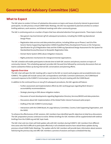<span id="page-15-0"></span>The GAC plans to conduct 16 hours of substantive discussions on topics and issues of priority interest to government participants. As with previous virtual ICANN Public Meetings, the GAC has expanded its planned activities to conduct briefing webinars, work sessions, and bilateral meetings with other community groups.

The GAC is continuing work on a number of topics that have attracted attention from governments. These topics include:

- New generic top-level domain (gTLD) subsequent procedures, including the ICANN org Operational Design Phase.
- Registration data services and data protection policies, including follow-up on Phases 2 and 2A of the Generic Names Supporting Organization (GNSO) Expedited Policy Development Process on the Temporary Specification for gTLD Registration Data and the ICANN org Operational Design Assessment for the System for Standardized Access/Disclosure to Nonpublic Registration Data.
- Domain Name System (DNS) abuse mitigation measures.
- Rights protection mechanisms for intergovernmental organizations.

The GAC schedule will enable participants to devote time to both GAC sessions and plenary sessions on topics of community interest. This scheduling approach provides GAC-focused time followed by community discussions that can lead to substantive follow-up during internal GAC conversations and planning efforts.

## **Agenda Overview**

The GAC chair will open the GAC meeting with a report to the GAC on recent work progress and accomplishments since ICANN72. The update will include various GAC correspondence and Public Comment submissions, the ICANN Board scorecard response to the ICANN72 Communiqué, and plans for the joint meeting with the ICANN Board.

In addition to the continued focus on new gTLD subsequent procedures, the GAC agenda will feature:

- Further assessment and implementation efforts by GAC working groups regarding Work Stream 2 accountability recommendations.
- Strategic planning on DNS abuse mitigation matters.
- Discussion of recent developments regarding Registration Directory Services/WHOIS and data protection.
- Discussions about GAC implementation of the Global Public Interest Framework pilot project.
- Drafting of the GAC ICANN73 Communiqué.
- Interactions with the ICANN Board, At Large Advisory Committee, Country Code Supporting Organization, and the GNSO.

To enhance the effectiveness of GAC sessions, GAC members have identified specific objectives to help focus discussions. The GAC preparation process continues to evolve. Written briefings for GAC members will be supplemented with webinar briefings from the ICANN org and GAC topic leads.

The GAC chair and vice chairs will hold update calls with GAC members during ICANN73. GAC members from different time zones who find it difficult to participate effectively in all scheduled sessions have valued these updates during previous virtual ICANN Public Meetings. The update calls for GAC members will provide basic information about sessions held during the previous day and offer GAC members a preview of sessions and topics scheduled that day.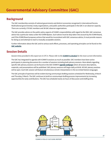## **Background**

The GAC membership consists of national governments and distinct economies recognized in international forums. Multinational governmental, treaty organizations, and public authorities participate in the GAC in an observer capacity. There are currently 179 GAC members and 38 GAC observer organizations.

The GAC provides advice on the public policy aspects of ICANN's responsibilities with regard to the DNS. GAC consensus advice has a particular status under the ICANN Bylaws. Such advice must be duly taken into account by the ICANN Board, and if the ICANN Board proposes actions that would be inconsistent with GAC consensus advice, it must provide reasons for doing so and attempt to reach a mutually acceptable solution.

Further information about the GAC and its various work efforts, processes, and operating principles can be found on the **[GAC website](https://gac.icann.org/)**.

## **Session Details**

*Session times provided in this report are in UTC-4. Please refer to the [ICANN73 schedule](https://73.schedule.icann.org/) for the most current information.*

The GAC has integrated its agenda with ICANN73 sessions as much as possible. GAC members have been active participants in planning discussions for a number of sessions including both plenary sessions. More details regarding specific GAC plenary sessions can be found on the GAC ICANN73 **[agenda webpage](https://gac.icann.org/agendas/icann73-virtual-meeting-agenda)** where all session descriptions, materials, and presentations will be published. GAC plenary sessions will begin daily at 09:00. All GAC plenary sessions will be open. Each GAC session will feature simultaneous remote interpretation in the six United Nations languages.

The GAC principle of openness will be evident during communiqué drafting sessions scheduled for Wednesday, 8 March and Thursday, 9 March. The GAC continues to build on communiqué drafting process improvements by increasing opportunities for early contributions. The GAC has scheduled nearly six hours of discussion and drafting time.

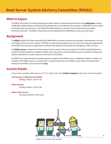<span id="page-17-0"></span>The RSSAC will conduct its monthly meeting and a public session to raise awareness about its recent **[publications](https://www.icann.org/groups/rssac/documents)**, namely "RSSAC047v2: RSSAC Advisory on Metrics for the DNS Root Servers and the Root Server System," "RSSAC058: Success Criteria for the RSS Governance Structure," and "RSSAC059: RSSAC Advisory on Success Criteria for the Root Server System Governance Structure." The RSSAC will also have a joint meeting with the ICANN Board to discuss priority issues.

## **Background**

The **[RSSAC](https://www.icann.org/groups/rssac)** advises the ICANN community and ICANN Board on matters relating to the operation, administration, security, and integrity of the root server system. The RSSAC consists of representatives from the root server operator organizations and liaisons from the partner organizations involved in the technical and operational management of the root zone.

The **[RSSAC Caucus](https://www.icann.org/groups/rssac-caucus)** is composed of Domain Name System experts who have an interest in the RSS, broadening the base of diverse technical expertise available for RSSAC work. The primary role of the RSSAC Caucus is to perform research and produce publications on topics relevant to the mission of the RSSAC.

The RSSAC Caucus Membership Committee appoints members of the RSSAC Caucus. In addition, all RSSAC members are members of the RSSAC Caucus. Currently, there is no active work party in the RSSAC Caucus. Please view information about previous RSSAC Caucus work parties **[here](https://www.icann.org/resources/pages/rssac-caucus-work-parties-2017-06-20-en)**.

## **Session Details**

*Session times provided in this report are in UTC-4. Please refer to the [ICANN73 schedule](https://73.schedule.icann.org/) for the most current information.*

## **Joint Meeting: ICANN Board and RSSAC**

Monday, 7 March | 16:30-17:30

#### **RSSAC Meeting**

Tuesday, 8 March | 10:30-12:00

#### **RSSAC Public Session**

Thursday, 10 March | 10:30-12:00